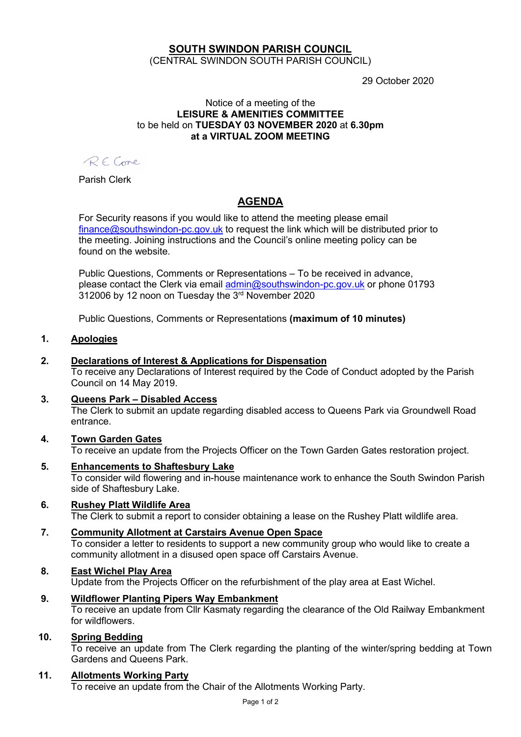### SOUTH SWINDON PARISH COUNCIL (CENTRAL SWINDON SOUTH PARISH COUNCIL)

29 October 2020

#### Notice of a meeting of the LEISURE & AMENITIES COMMITTEE to be held on TUESDAY 03 NOVEMBER 2020 at 6.30pm at a VIRTUAL ZOOM MEETING

RECome

Parish Clerk

# AGENDA

For Security reasons if you would like to attend the meeting please email finance@southswindon-pc.gov.uk to request the link which will be distributed prior to the meeting. Joining instructions and the Council's online meeting policy can be found on the website.

Public Questions, Comments or Representations – To be received in advance, please contact the Clerk via email admin@southswindon-pc.gov.uk or phone 01793 312006 by 12 noon on Tuesday the 3rd November 2020

Public Questions, Comments or Representations (maximum of 10 minutes)

#### 1. Apologies

### 2. Declarations of Interest & Applications for Dispensation

To receive any Declarations of Interest required by the Code of Conduct adopted by the Parish Council on 14 May 2019.

#### 3. Queens Park – Disabled Access

The Clerk to submit an update regarding disabled access to Queens Park via Groundwell Road entrance.

#### 4. Town Garden Gates To receive an update from the Projects Officer on the Town Garden Gates restoration project.

- 5. Enhancements to Shaftesbury Lake To consider wild flowering and in-house maintenance work to enhance the South Swindon Parish side of Shaftesbury Lake.
- 6. Rushey Platt Wildlife Area The Clerk to submit a report to consider obtaining a lease on the Rushey Platt wildlife area.

### 7. Community Allotment at Carstairs Avenue Open Space To consider a letter to residents to support a new community group who would like to create a community allotment in a disused open space off Carstairs Avenue.

### 8. East Wichel Play Area

Update from the Projects Officer on the refurbishment of the play area at East Wichel.

#### 9. Wildflower Planting Pipers Way Embankment

To receive an update from Cllr Kasmaty regarding the clearance of the Old Railway Embankment for wildflowers.

#### 10. Spring Bedding

To receive an update from The Clerk regarding the planting of the winter/spring bedding at Town Gardens and Queens Park.

#### 11. Allotments Working Party

To receive an update from the Chair of the Allotments Working Party.